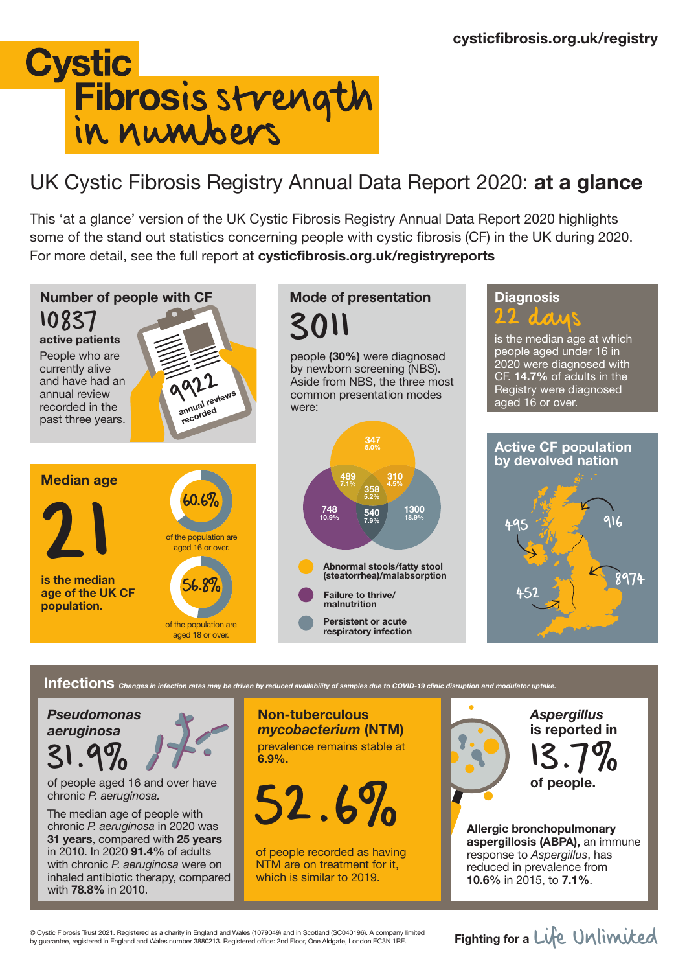

## UK Cystic Fibrosis Registry Annual Data Report 2020: at a glance

This 'at a glance' version of the UK Cystic Fibrosis Registry Annual Data Report 2020 highlights some of the stand out statistics concerning people with cystic fibrosis (CF) in the UK during 2020. For more detail, see the full report at cysticfibrosis.org.uk/registryreports



## Infections *Changes in infection rates may be driven by reduced availability of samples due to COVID-19 clinic disruption and modulator uptake.*

*Pseudomonas aeruginosa* 31.9%

of people aged 16 and over have chronic *P. aeruginosa.*

The median age of people with chronic *P. aeruginosa* in 2020 was 31 years, compared with 25 years in 2010. In 2020 91.4% of adults with chronic *P. aeruginosa* were on inhaled antibiotic therapy, compared with 78.8% in 2010.

Non-tuberculous *mycobacterium* (NTM) prevalence remains stable at 6.9%.

of people. 52.6%

of people recorded as having NTM are on treatment for it, which is similar to 2019.

*Aspergillus* is reported in 13.7%

Allergic bronchopulmonary aspergillosis (ABPA), an immune response to *Aspergillus*, has reduced in prevalence from 10.6% in 2015, to 7.1%.

© Cystic Fibrosis Trust 2021. Registered as a charity in England and Wales (1079049) and in Scotland (SC040196). A company limited © Cystic Fibrosis Trust 2021. Registered as a charity in England and Wales (1079049) and in Scotland (SC040196). A company limited<br>by guarantee, registered in England and Wales number 3880213. Registered office: 2nd Floor,